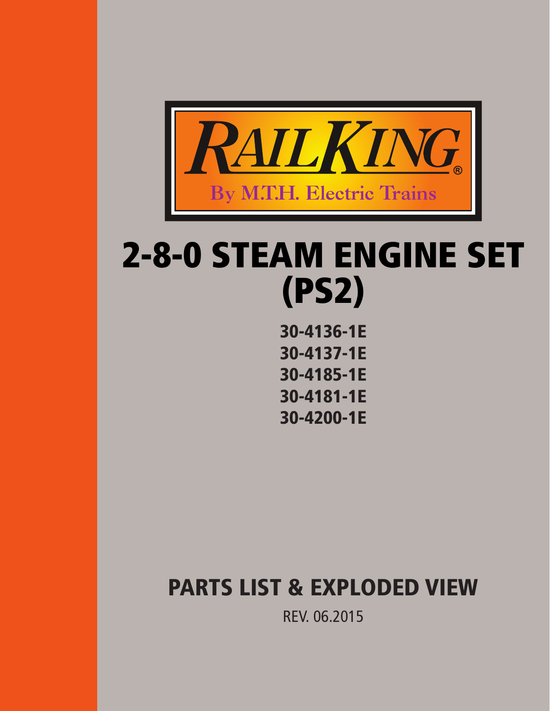

# 2-8-0 STEAM ENGINE SET (PS2)

30-4136-1E 30-4137-1E 30-4185-1E 30-4181-1E 30-4200-1E

# PARTS LIST & EXPLODED VIEW

REV. 06.2015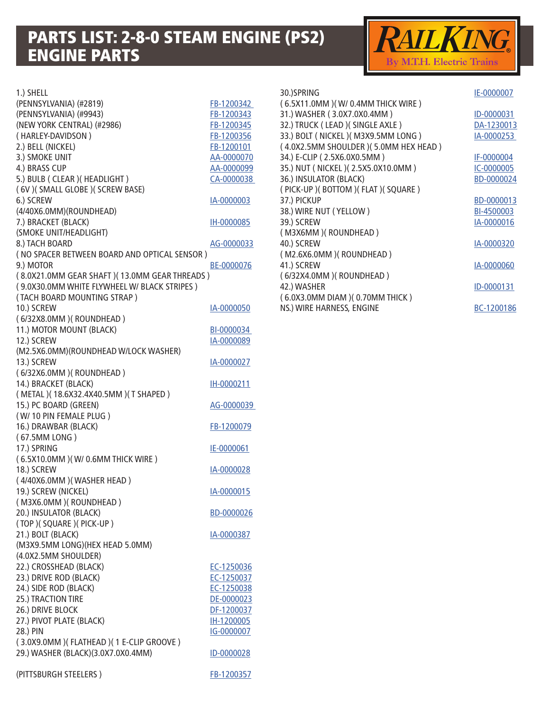### PARTS LIST: 2-8-0 STEAM ENGINE (PS2) ENGINE PARTS



| 1.) SHELL                                     |            |
|-----------------------------------------------|------------|
| (PENNSYLVANIA) (#2819)                        | FB-1200342 |
| (PENNSYLVANIA) (#9943)                        | FB-1200343 |
| (NEW YORK CENTRAL) (#2986)                    | FB-1200345 |
| (HARLEY-DAVIDSON)                             | FB-1200356 |
| 2.) BELL (NICKEL)                             | FB-1200101 |
| 3.) SMOKE UNIT                                | AA-0000070 |
| 4.) BRASS CUP                                 |            |
|                                               | AA-0000099 |
| 5.) BULB ( CLEAR ) ( HEADLIGHT )              | CA-0000038 |
| (6V) (SMALL GLOBE) (SCREW BASE)               |            |
| 6.) SCREW                                     | IA-0000003 |
| (4/40X6.0MM)(ROUNDHEAD)                       |            |
| 7.) BRACKET (BLACK)                           | IH-0000085 |
| (SMOKE UNIT/HEADLIGHT)                        |            |
| 8.) TACH BOARD                                | AG-0000033 |
| (NO SPACER BETWEEN BOARD AND OPTICAL SENSOR)  |            |
| 9.) MOTOR                                     | BE-0000076 |
| (8.0X21.0MM GEAR SHAFT) (13.0MM GEAR THREADS) |            |
|                                               |            |
| (9.0X30.0MM WHITE FLYWHEEL W/ BLACK STRIPES)  |            |
| (TACH BOARD MOUNTING STRAP)                   |            |
| 10.) SCREW                                    | IA-0000050 |
| (6/32X8.0MM) (ROUNDHEAD)                      |            |
| 11.) MOTOR MOUNT (BLACK)                      | BI-0000034 |
| 12.) SCREW                                    | IA-0000089 |
| (M2.5X6.0MM)(ROUNDHEAD W/LOCK WASHER)         |            |
| 13.) SCREW                                    | IA-0000027 |
| (6/32X6.0MM) (ROUNDHEAD)                      |            |
| 14.) BRACKET (BLACK)                          | IH-0000211 |
| (METAL)(18.6X32.4X40.5MM)(T SHAPED)           |            |
| 15.) PC BOARD (GREEN)                         | AG-0000039 |
| (W/10 PIN FEMALE PLUG)                        |            |
|                                               |            |
| 16.) DRAWBAR (BLACK)                          | FB-1200079 |
| (67.5MM LONG)                                 |            |
| 17.) SPRING                                   | IE-0000061 |
| (6.5X10.0MM) (W/0.6MM THICK WIRE)             |            |
| 18.) SCREW                                    | IA-0000028 |
| (4/40X6.0MM) (WASHER HEAD)                    |            |
| 19.) SCREW (NICKEL)                           | IA-0000015 |
| (M3X6.0MM) (ROUNDHEAD)                        |            |
| 20.) INSULATOR (BLACK)                        | BD-0000026 |
| (TOP)(SQUARE)(PICK-UP)                        |            |
| 21.) BOLT (BLACK)                             | IA-0000387 |
| (M3X9.5MM LONG)(HEX HEAD 5.0MM)               |            |
|                                               |            |
| (4.0X2.5MM SHOULDER)                          |            |
| 22.) CROSSHEAD (BLACK)                        | EC-1250036 |
| 23.) DRIVE ROD (BLACK)                        | EC-1250037 |
| 24.) SIDE ROD (BLACK)                         | EC-1250038 |
| 25.) TRACTION TIRE                            | DE-0000023 |
| 26.) DRIVE BLOCK                              | DF-1200037 |
| 27.) PIVOT PLATE (BLACK)                      | IH-1200005 |
| 28.) PIN                                      | IG-0000007 |
| (3.0X9.0MM) (FLATHEAD) (1 E-CLIP GROOVE)      |            |
| 29.) WASHER (BLACK)(3.0X7.0X0.4MM)            | ID-0000028 |
|                                               |            |
| (PITTSBURGH STEELERS)                         | FB-1200357 |
|                                               |            |

| 30.)SPRING                            | IE-0000007 |
|---------------------------------------|------------|
| (6.5X11.0MM) (W/0.4MM THICK WIRE)     |            |
| 31.) WASHER (3.0X7.0X0.4MM)           | ID-0000031 |
| 32.) TRUCK ( LEAD )( SINGLE AXLE )    | DA-1230013 |
| 33.) BOLT ( NICKEL )( M3X9.5MM LONG ) | IA-0000253 |
| (4.0X2.5MM SHOULDER) (5.0MM HEX HEAD) |            |
| 34.) E-CLIP (2.5X6.0X0.5MM)           | IF-0000004 |
| 35.) NUT ( NICKEL )( 2.5X5.0X10.0MM ) | IC-0000005 |
| 36.) INSULATOR (BLACK)                | BD-0000024 |
| (PICK-UP)(BOTTOM)(FLAT)(SQUARE)       |            |
| 37.) PICKUP                           | BD-0000013 |
| 38.) WIRE NUT (YELLOW)                | BI-4500003 |
| 39.) SCREW                            | IA-0000016 |
| (M3X6MM) (ROUNDHEAD)                  |            |
| 40.) SCREW                            | IA-0000320 |
| (M2.6X6.0MM) (ROUNDHEAD)              |            |
| 41.) SCREW                            | IA-0000060 |
| (6/32X4.0MM) (ROUNDHEAD)              |            |
| 42.) WASHER                           | ID-0000131 |
| (6.0X3.0MM DIAM) (0.70MM THICK)       |            |
| NS.) WIRE HARNESS, ENGINE             | BC-1200186 |
|                                       |            |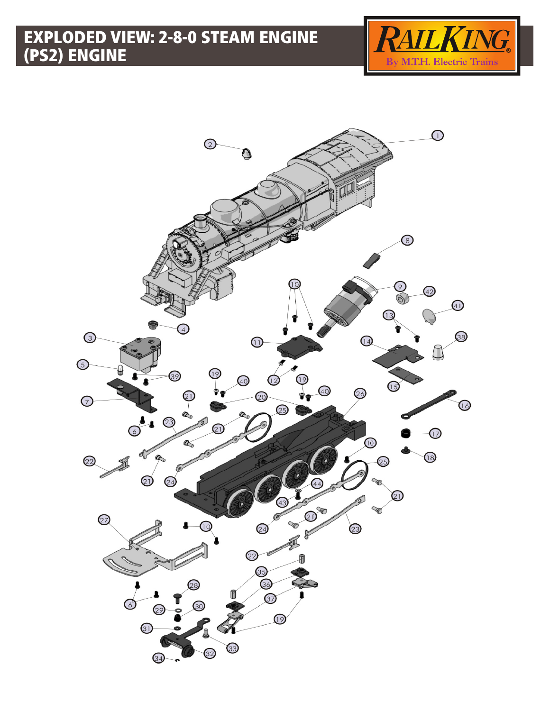## EXPLODED VIEW: 2-8-0 STEAM ENGINE (PS2) ENGINE



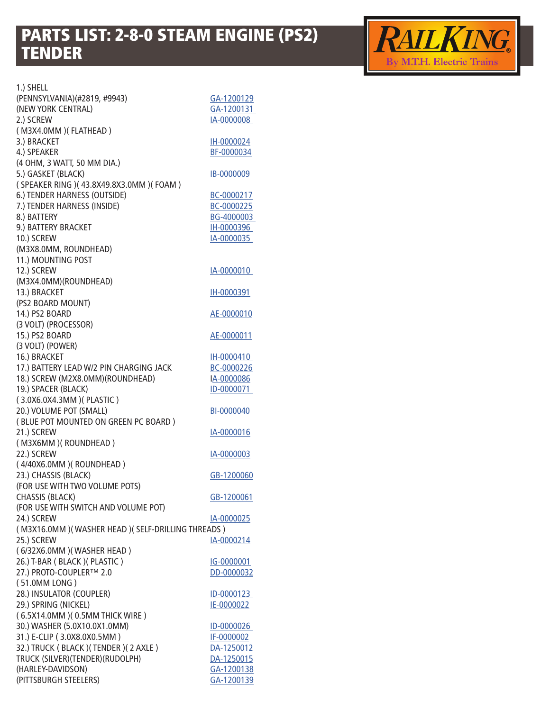### PARTS LIST: 2-8-0 STEAM ENGINE (PS2) TENDER



1.) SHELL (PENNSYLVANIA)(#2819, #9943) [GA-1200129](http://mthtrains.com/part/GA-1200129) (NEW YORK CENTRAL) [GA-1200131](http://mthtrains.com/part/GA-1200131)  2.) SCREW [IA-0000008](http://mthtrains.com/part/IA-0000008)  ( M3X4.0MM )( FLATHEAD ) 3.) BRACKET [IH-0000024](http://mthtrains.com/part/IH-0000024) 4.) SPEAKER [BF-0000034](http://mthtrains.com/part/BF-0000034) (4 OHM, 3 WATT, 50 MM DIA.) 5.) GASKET (BLACK) [IB-0000009](http://mthtrains.com/part/IB-0000009) ( SPEAKER RING )( 43.8X49.8X3.0MM )( FOAM ) 6.) TENDER HARNESS (OUTSIDE) [BC-0000217](http://mthtrains.com/part/BC-0000217) 7.) TENDER HARNESS (INSIDE) [BC-0000225](http://mthtrains.com/part/BC-0000225) 8.) BATTERY BG-4000003 9.) BATTERY BRACKET MEDICINE RELATIONS AND RELATIONS AND RELATIONS AND RELATIONS OF A LIBRARY BRACKET 10.) SCREW [IA-0000035](http://mthtrains.com/part/IA-0000035)  (M3X8.0MM, ROUNDHEAD) 11.) MOUNTING POST 12.) SCREW **IA-0000010** (M3X4.0MM)(ROUNDHEAD) 13.) BRACKET [IH-0000391](http://mthtrains.com/part/IH-0000391) (PS2 BOARD MOUNT) 14.) PS2 BOARD [AE-0000010](http://mthtrains.com/part/AE-0000010) (3 VOLT) (PROCESSOR) 15.) PS2 BOARD [AE-0000011](http://mthtrains.com/part/AE-0000011) (3 VOLT) (POWER) 16.) BRACKET IH-0000410 17.) BATTERY LEAD W/2 PIN CHARGING JACK [BC-0000226](http://mthtrains.com/part/BC-0000226) 18.) SCREW (M2X8.0MM)(ROUNDHEAD) I[A-0000086](http://mthtrains.com/part/iA-0000086) 19.) SPACER (BLACK) ID-0000071 ( 3.0X6.0X4.3MM )( PLASTIC ) 20.) VOLUME POT (SMALL) [BI-0000040](http://mthtrains.com/part/BI-0000040) ( BLUE POT MOUNTED ON GREEN PC BOARD ) 21.) SCREW [IA-0000016](http://mthtrains.com/part/IA-0000016) ( M3X6MM )( ROUNDHEAD ) 22.) SCREW [IA-0000003](http://mthtrains.com/part/IA-0000003) ( 4/40X6.0MM )( ROUNDHEAD ) 23.) CHASSIS (BLACK) [GB-1200060](http://mthtrains.com/part/GB-1200060) (FOR USE WITH TWO VOLUME POTS) CHASSIS (BLACK) [GB-1200061](http://mthtrains.com/part/GB-1200061) (FOR USE WITH SWITCH AND VOLUME POT) 24.) SCREW [IA-0000025](http://mthtrains.com/part/IA-0000025) ( M3X16.0MM )( WASHER HEAD )( SELF-DRILLING THREADS ) 25.) SCREW [IA-0000214](http://mthtrains.com/part/IA-0000214) ( 6/32X6.0MM )( WASHER HEAD ) 26.) T-BAR ( BLACK ) ( PLASTIC ) [IG-0000001](http://mthtrains.com/part/IG-0000001) 27.) PROTO-COUPLER™ 2.0 [DD-0000032](http://mthtrains.com/part/DD-0000032) ( 51.0MM LONG ) 28.) INSULATOR (COUPLER) ID-0000123 29.) SPRING (NICKEL) [IE-0000022](http://mthtrains.com/part/IE-0000022) ( 6.5X14.0MM )( 0.5MM THICK WIRE ) 30.) WASHER (5.0X10.0X1.0MM) ID-0000026 31.) E-CLIP (3.0X8.0X0.5MM) [IF-0000002](http://mthtrains.com/part/IF-0000002) 32.) TRUCK ( BLACK ) ( TENDER ) ( 2 AXLE ) [DA-1250012](http://mthtrains.com/part/DA-1250012) TRUCK (SILVER)(TENDER)(RUDOLPH) [DA-1250015](http://mthtrains.com/part/DA-1250015) (HARLEY-DAVIDSON) [GA-1200138](http://mthtrains.com/part/GA-1200138) (PITTSBURGH STEELERS) [GA-1200139](http://mthtrains.com/part/GA-1200139)